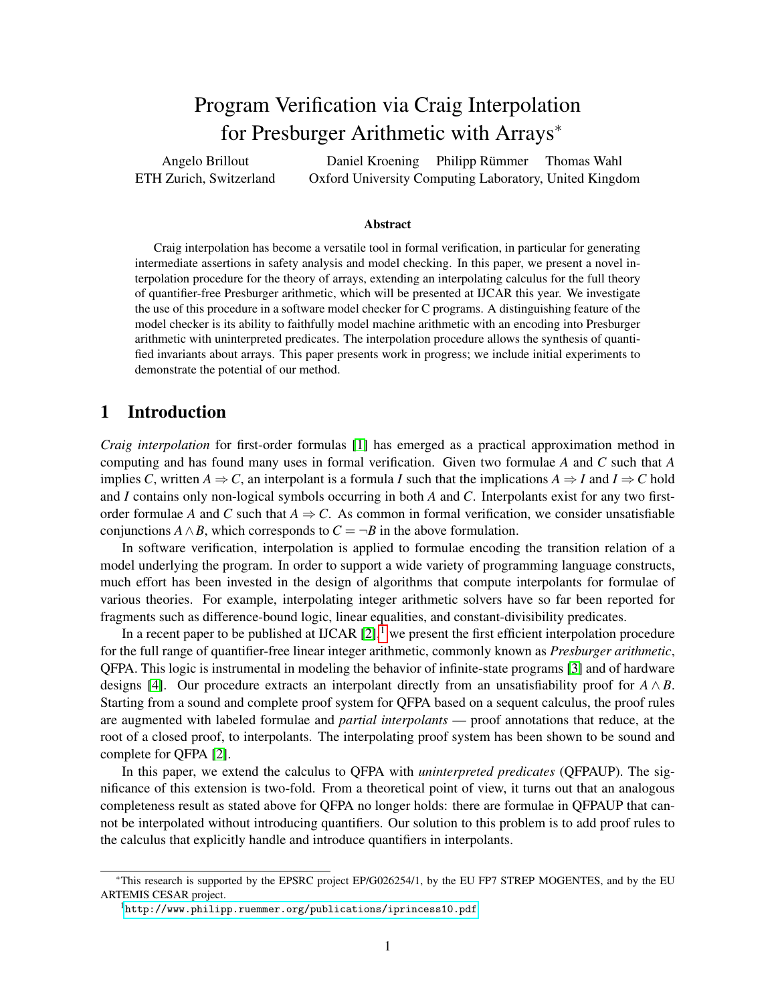# Program Verification via Craig Interpolation for Presburger Arithmetic with Arrays<sup>∗</sup>

<span id="page-0-0"></span>Angelo Brillout ETH Zurich, Switzerland Daniel Kroening Philipp Rümmer Thomas Wahl Oxford University Computing Laboratory, United Kingdom

#### Abstract

Craig interpolation has become a versatile tool in formal verification, in particular for generating intermediate assertions in safety analysis and model checking. In this paper, we present a novel interpolation procedure for the theory of arrays, extending an interpolating calculus for the full theory of quantifier-free Presburger arithmetic, which will be presented at IJCAR this year. We investigate the use of this procedure in a software model checker for C programs. A distinguishing feature of the model checker is its ability to faithfully model machine arithmetic with an encoding into Presburger arithmetic with uninterpreted predicates. The interpolation procedure allows the synthesis of quantified invariants about arrays. This paper presents work in progress; we include initial experiments to demonstrate the potential of our method.

# 1 Introduction

*Craig interpolation* for first-order formulas [\[1\]](#page-13-0) has emerged as a practical approximation method in computing and has found many uses in formal verification. Given two formulae *A* and *C* such that *A* implies *C*, written  $A \Rightarrow C$ , an interpolant is a formula *I* such that the implications  $A \Rightarrow I$  and  $I \Rightarrow C$  hold and *I* contains only non-logical symbols occurring in both *A* and *C*. Interpolants exist for any two firstorder formulae *A* and *C* such that  $A \Rightarrow C$ . As common in formal verification, we consider unsatisfiable conjunctions *A*  $\land$  *B*, which corresponds to  $C = \neg B$  in the above formulation.

In software verification, interpolation is applied to formulae encoding the transition relation of a model underlying the program. In order to support a wide variety of programming language constructs, much effort has been invested in the design of algorithms that compute interpolants for formulae of various theories. For example, interpolating integer arithmetic solvers have so far been reported for fragments such as difference-bound logic, linear equalities, and constant-divisibility predicates.

In a recent paper to be published at IJCAR  $[2]$ ,<sup>1</sup> we present the first efficient interpolation procedure for the full range of quantifier-free linear integer arithmetic, commonly known as *Presburger arithmetic*, QFPA. This logic is instrumental in modeling the behavior of infinite-state programs [\[3\]](#page-13-2) and of hardware designs [\[4\]](#page-13-3). Our procedure extracts an interpolant directly from an unsatisfiability proof for  $A \wedge B$ . Starting from a sound and complete proof system for QFPA based on a sequent calculus, the proof rules are augmented with labeled formulae and *partial interpolants* — proof annotations that reduce, at the root of a closed proof, to interpolants. The interpolating proof system has been shown to be sound and complete for QFPA [\[2\]](#page-13-1).

In this paper, we extend the calculus to QFPA with *uninterpreted predicates* (QFPAUP). The significance of this extension is two-fold. From a theoretical point of view, it turns out that an analogous completeness result as stated above for QFPA no longer holds: there are formulae in QFPAUP that cannot be interpolated without introducing quantifiers. Our solution to this problem is to add proof rules to the calculus that explicitly handle and introduce quantifiers in interpolants.

<sup>∗</sup>This research is supported by the EPSRC project EP/G026254/1, by the EU FP7 STREP MOGENTES, and by the EU ARTEMIS CESAR project.

<sup>1</sup><http://www.philipp.ruemmer.org/publications/iprincess10.pdf>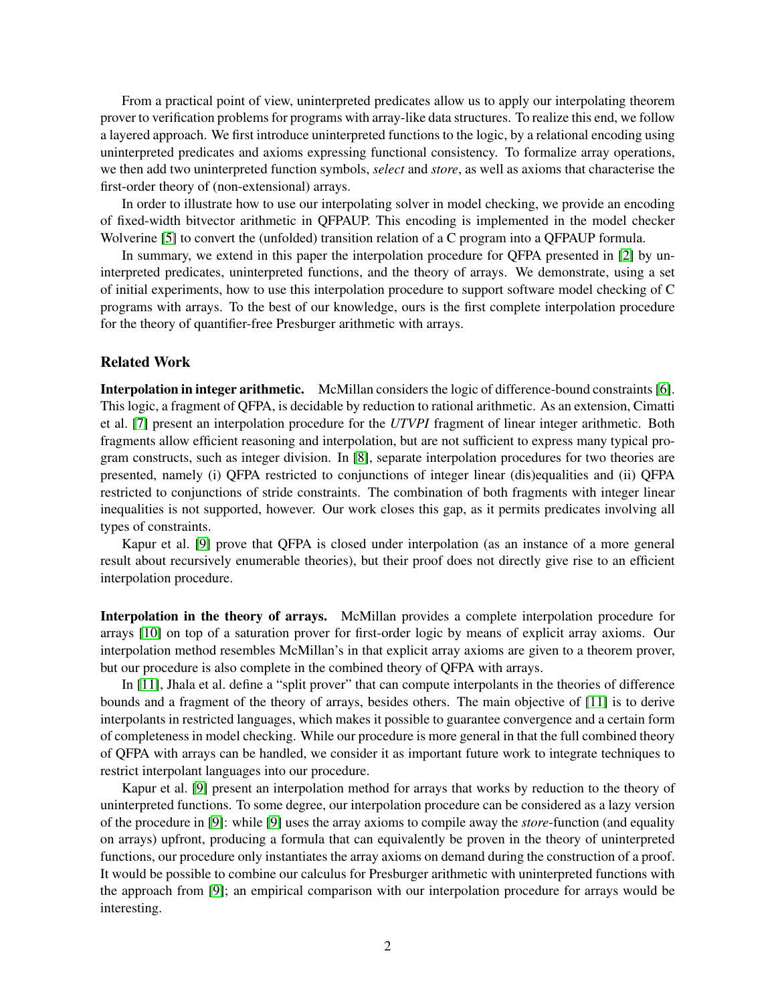From a practical point of view, uninterpreted predicates allow us to apply our interpolating theorem prover to verification problems for programs with array-like data structures. To realize this end, we follow a layered approach. We first introduce uninterpreted functions to the logic, by a relational encoding using uninterpreted predicates and axioms expressing functional consistency. To formalize array operations, we then add two uninterpreted function symbols, *select* and *store*, as well as axioms that characterise the first-order theory of (non-extensional) arrays.

In order to illustrate how to use our interpolating solver in model checking, we provide an encoding of fixed-width bitvector arithmetic in QFPAUP. This encoding is implemented in the model checker Wolverine [\[5\]](#page-13-4) to convert the (unfolded) transition relation of a C program into a QFPAUP formula.

In summary, we extend in this paper the interpolation procedure for QFPA presented in [\[2\]](#page-13-1) by uninterpreted predicates, uninterpreted functions, and the theory of arrays. We demonstrate, using a set of initial experiments, how to use this interpolation procedure to support software model checking of C programs with arrays. To the best of our knowledge, ours is the first complete interpolation procedure for the theory of quantifier-free Presburger arithmetic with arrays.

### Related Work

Interpolation in integer arithmetic. McMillan considers the logic of difference-bound constraints [\[6\]](#page-13-5). This logic, a fragment of QFPA, is decidable by reduction to rational arithmetic. As an extension, Cimatti et al. [\[7\]](#page-13-6) present an interpolation procedure for the *UTVPI* fragment of linear integer arithmetic. Both fragments allow efficient reasoning and interpolation, but are not sufficient to express many typical program constructs, such as integer division. In [\[8\]](#page-13-7), separate interpolation procedures for two theories are presented, namely (i) QFPA restricted to conjunctions of integer linear (dis)equalities and (ii) QFPA restricted to conjunctions of stride constraints. The combination of both fragments with integer linear inequalities is not supported, however. Our work closes this gap, as it permits predicates involving all types of constraints.

Kapur et al. [\[9\]](#page-13-8) prove that QFPA is closed under interpolation (as an instance of a more general result about recursively enumerable theories), but their proof does not directly give rise to an efficient interpolation procedure.

Interpolation in the theory of arrays. McMillan provides a complete interpolation procedure for arrays [\[10\]](#page-13-9) on top of a saturation prover for first-order logic by means of explicit array axioms. Our interpolation method resembles McMillan's in that explicit array axioms are given to a theorem prover, but our procedure is also complete in the combined theory of QFPA with arrays.

In [\[11\]](#page-13-10), Jhala et al. define a "split prover" that can compute interpolants in the theories of difference bounds and a fragment of the theory of arrays, besides others. The main objective of [\[11\]](#page-13-10) is to derive interpolants in restricted languages, which makes it possible to guarantee convergence and a certain form of completeness in model checking. While our procedure is more general in that the full combined theory of QFPA with arrays can be handled, we consider it as important future work to integrate techniques to restrict interpolant languages into our procedure.

Kapur et al. [\[9\]](#page-13-8) present an interpolation method for arrays that works by reduction to the theory of uninterpreted functions. To some degree, our interpolation procedure can be considered as a lazy version of the procedure in [\[9\]](#page-13-8): while [\[9\]](#page-13-8) uses the array axioms to compile away the *store*-function (and equality on arrays) upfront, producing a formula that can equivalently be proven in the theory of uninterpreted functions, our procedure only instantiates the array axioms on demand during the construction of a proof. It would be possible to combine our calculus for Presburger arithmetic with uninterpreted functions with the approach from [\[9\]](#page-13-8); an empirical comparison with our interpolation procedure for arrays would be interesting.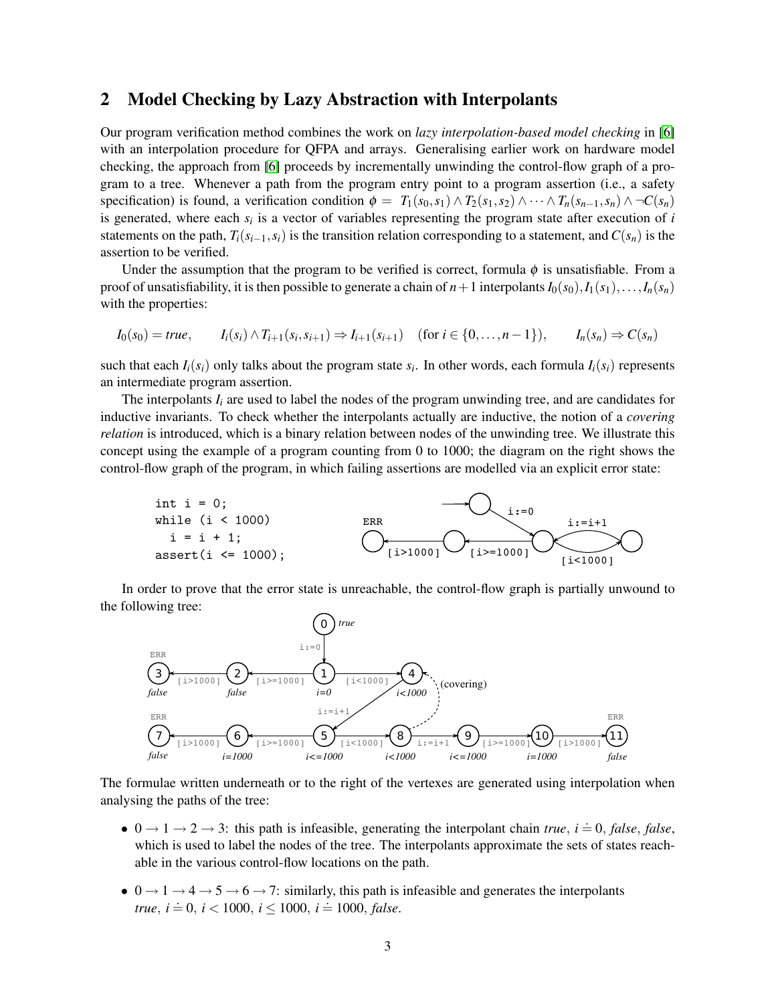### <span id="page-2-0"></span>2 Model Checking by Lazy Abstraction with Interpolants

Our program verification method combines the work on *lazy interpolation-based model checking* in [\[6\]](#page-13-5) with an interpolation procedure for QFPA and arrays. Generalising earlier work on hardware model checking, the approach from [\[6\]](#page-13-5) proceeds by incrementally unwinding the control-flow graph of a program to a tree. Whenever a path from the program entry point to a program assertion (i.e., a safety specification) is found, a verification condition  $\phi = T_1(s_0, s_1) \wedge T_2(s_1, s_2) \wedge \cdots \wedge T_n(s_{n-1}, s_n) \wedge \neg C(s_n)$ is generated, where each  $s_i$  is a vector of variables representing the program state after execution of  $i$ statements on the path,  $T_i(s_{i-1}, s_i)$  is the transition relation corresponding to a statement, and  $C(s_n)$  is the assertion to be verified.

Under the assumption that the program to be verified is correct, formula  $\phi$  is unsatisfiable. From a proof of unsatisfiability, it is then possible to generate a chain of  $n+1$  interpolants  $I_0(s_0), I_1(s_1), \ldots, I_n(s_n)$ with the properties:

$$
I_0(s_0) = true, \qquad I_i(s_i) \wedge T_{i+1}(s_i, s_{i+1}) \Rightarrow I_{i+1}(s_{i+1}) \quad (\text{for } i \in \{0, \dots, n-1\}), \qquad I_n(s_n) \Rightarrow C(s_n)
$$

such that each  $I_i(s_i)$  only talks about the program state  $s_i$ . In other words, each formula  $I_i(s_i)$  represents an intermediate program assertion.

The interpolants  $I_i$  are used to label the nodes of the program unwinding tree, and are candidates for inductive invariants. To check whether the interpolants actually are inductive, the notion of a *covering relation* is introduced, which is a binary relation between nodes of the unwinding tree. We illustrate this concept using the example of a program counting from 0 to 1000; the diagram on the right shows the control-flow graph of the program, in which failing assertions are modelled via an explicit error state:



In order to prove that the error state is unreachable, the control-flow graph is partially unwound to the following tree:



The formulae written underneath or to the right of the vertexes are generated using interpolation when analysing the paths of the tree:

- $0 \rightarrow 1 \rightarrow 2 \rightarrow 3$ : this path is infeasible, generating the interpolant chain *true*,  $i = 0$ , *false*, *false*, which is used to label the nodes of the tree. The interpolants approximate the sets of states reachable in the various control-flow locations on the path.
- $0 \rightarrow 1 \rightarrow 4 \rightarrow 5 \rightarrow 6 \rightarrow 7$ : similarly, this path is infeasible and generates the interpolants *true*,  $i = 0$ ,  $i < 1000$ ,  $i \le 1000$ ,  $i = 1000$ , *false*.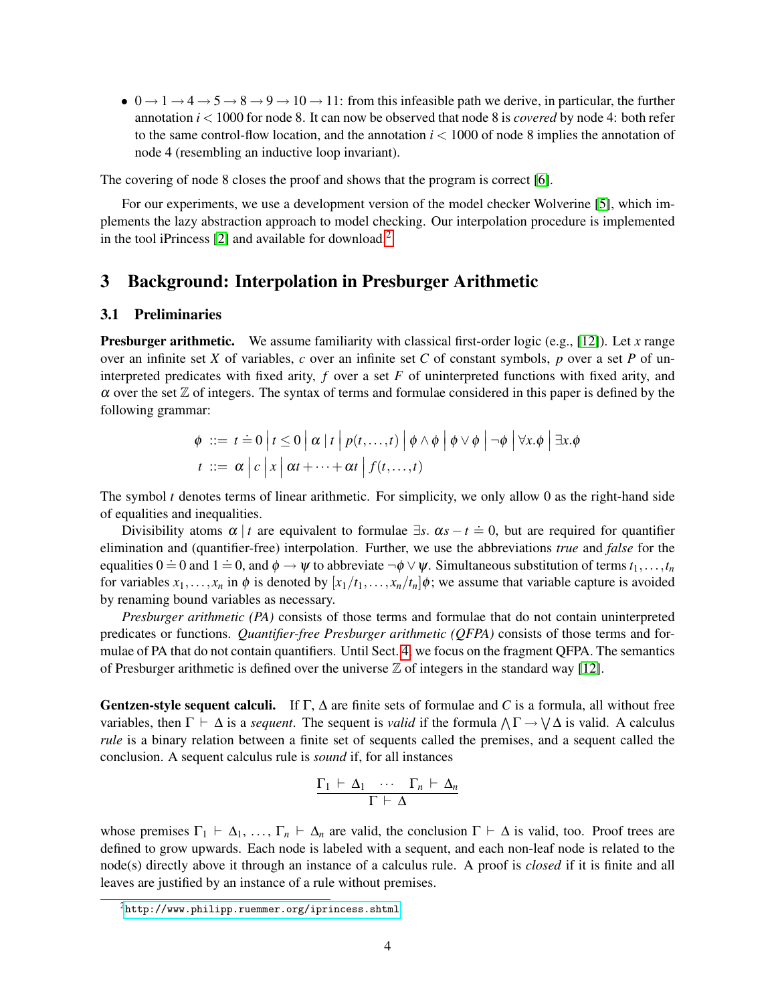•  $0 \rightarrow 1 \rightarrow 4 \rightarrow 5 \rightarrow 8 \rightarrow 9 \rightarrow 10 \rightarrow 11$ : from this infeasible path we derive, in particular, the further annotation *i* < 1000 for node 8. It can now be observed that node 8 is *covered* by node 4: both refer to the same control-flow location, and the annotation *i* < 1000 of node 8 implies the annotation of node 4 (resembling an inductive loop invariant).

The covering of node 8 closes the proof and shows that the program is correct [\[6\]](#page-13-5).

For our experiments, we use a development version of the model checker Wolverine [\[5\]](#page-13-4), which implements the lazy abstraction approach to model checking. Our interpolation procedure is implemented in the tool iPrincess  $[2]$  and available for download.<sup>[2](#page-0-0)</sup>

# <span id="page-3-1"></span>3 Background: Interpolation in Presburger Arithmetic

### <span id="page-3-0"></span>3.1 Preliminaries

Presburger arithmetic. We assume familiarity with classical first-order logic (e.g., [\[12\]](#page-13-11)). Let *x* range over an infinite set *X* of variables, *c* over an infinite set *C* of constant symbols, *p* over a set *P* of uninterpreted predicates with fixed arity, *f* over a set *F* of uninterpreted functions with fixed arity, and  $\alpha$  over the set  $\mathbb Z$  of integers. The syntax of terms and formulae considered in this paper is defined by the following grammar:

$$
\begin{aligned}\n\phi &\ ::= t \doteq 0 \left| t \leq 0 \left| \alpha \left| t \right| p(t, \ldots, t) \left| \phi \wedge \phi \right| \phi \vee \phi \right| \neg \phi \right| \forall x. \phi \mid \exists x. \phi \\
t &\ ::= \alpha \left| c \left| x \left| \alpha t + \cdots + \alpha t \right| f(t, \ldots, t)\right.\n\end{aligned}
$$

The symbol *t* denotes terms of linear arithmetic. For simplicity, we only allow 0 as the right-hand side of equalities and inequalities.

Divisibility atoms  $\alpha | t$  are equivalent to formulae  $\exists s$ .  $\alpha s - t \doteq 0$ , but are required for quantifier elimination and (quantifier-free) interpolation. Further, we use the abbreviations *true* and *false* for the equalities  $0 = 0$  and  $1 = 0$ , and  $\phi \rightarrow \psi$  to abbreviate  $\neg \phi \lor \psi$ . Simultaneous substitution of terms  $t_1, \ldots, t_n$ for variables  $x_1, \ldots, x_n$  in  $\phi$  is denoted by  $[x_1/t_1, \ldots, x_n/t_n] \phi$ ; we assume that variable capture is avoided by renaming bound variables as necessary.

*Presburger arithmetic (PA)* consists of those terms and formulae that do not contain uninterpreted predicates or functions. *Quantifier-free Presburger arithmetic (QFPA)* consists of those terms and formulae of PA that do not contain quantifiers. Until Sect. [4,](#page-6-0) we focus on the fragment QFPA. The semantics of Presburger arithmetic is defined over the universe  $\mathbb Z$  of integers in the standard way [\[12\]](#page-13-11).

**Gentzen-style sequent calculi.** If  $\Gamma$ ,  $\Delta$  are finite sets of formulae and *C* is a formula, all without free variables, then  $\Gamma \vdash \Delta$  is a *sequent*. The sequent is *valid* if the formula  $\land \Gamma \rightarrow \lor \Delta$  is valid. A calculus *rule* is a binary relation between a finite set of sequents called the premises, and a sequent called the conclusion. A sequent calculus rule is *sound* if, for all instances

$$
\frac{\Gamma_1 \vdash \Delta_1 \cdots \Gamma_n \vdash \Delta_n}{\Gamma \vdash \Delta}
$$

whose premises  $\Gamma_1 \vdash \Delta_1, \ldots, \Gamma_n \vdash \Delta_n$  are valid, the conclusion  $\Gamma \vdash \Delta$  is valid, too. Proof trees are defined to grow upwards. Each node is labeled with a sequent, and each non-leaf node is related to the node(s) directly above it through an instance of a calculus rule. A proof is *closed* if it is finite and all leaves are justified by an instance of a rule without premises.

 $2$ <http://www.philipp.ruemmer.org/iprincess.shtml>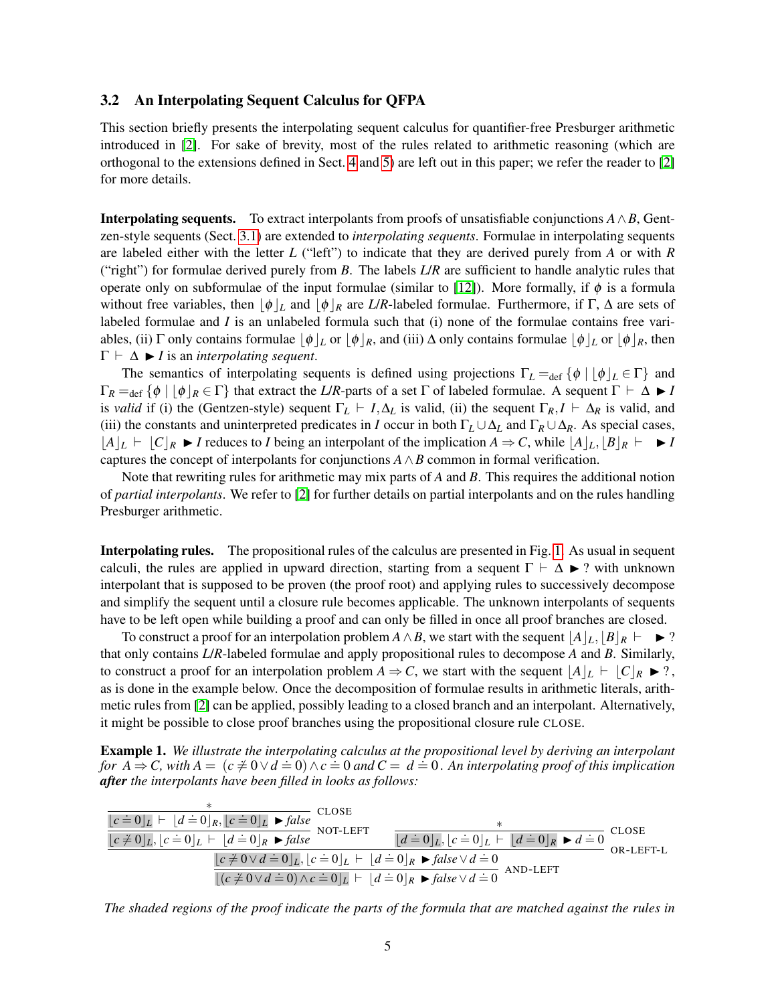### 3.2 An Interpolating Sequent Calculus for QFPA

This section briefly presents the interpolating sequent calculus for quantifier-free Presburger arithmetic introduced in [\[2\]](#page-13-1). For sake of brevity, most of the rules related to arithmetic reasoning (which are orthogonal to the extensions defined in Sect. [4](#page-6-0) and [5\)](#page-8-0) are left out in this paper; we refer the reader to [\[2\]](#page-13-1) for more details.

**Interpolating sequents.** To extract interpolants from proofs of unsatisfiable conjunctions  $A \wedge B$ , Gentzen-style sequents (Sect. [3.1\)](#page-3-0) are extended to *interpolating sequents*. Formulae in interpolating sequents are labeled either with the letter *L* ("left") to indicate that they are derived purely from *A* or with *R* ("right") for formulae derived purely from *B*. The labels *L*/*R* are sufficient to handle analytic rules that operate only on subformulae of the input formulae (similar to [\[12\]](#page-13-11)). More formally, if  $\phi$  is a formula without free variables, then  $|\phi|_L$  and  $|\phi|_R$  are *L/R*-labeled formulae. Furthermore, if Γ,  $\Delta$  are sets of labeled formulae and *I* is an unlabeled formula such that (i) none of the formulae contains free variables, (ii)  $\Gamma$  only contains formulae  $\phi|_L$  or  $\phi|_R$ , and (iii)  $\Delta$  only contains formulae  $\phi|_L$  or  $\phi|_R$ , then  $\Gamma \vdash \Delta \blacktriangleright I$  is an *interpolating sequent*.

The semantics of interpolating sequents is defined using projections  $\Gamma_L =_{def} {\phi \mid [\phi]_L \in \Gamma}$  and  $\Gamma_R =_{\text{def}} {\phi \mid |\phi|_R \in \Gamma}$  that extract the *L*/*R*-parts of a set Γ of labeled formulae. A sequent  $\Gamma \vdash \Delta \blacktriangleright I$ is *valid* if (i) the (Gentzen-style) sequent  $\Gamma_L \vdash I, \Delta_L$  is valid, (ii) the sequent  $\Gamma_R, I \vdash \Delta_R$  is valid, and (iii) the constants and uninterpreted predicates in *I* occur in both  $\Gamma_L \cup \Delta_L$  and  $\Gamma_R \cup \Delta_R$ . As special cases,  $|A|_L \vdash |C|_R \blacktriangleright I$  reduces to *I* being an interpolant of the implication  $A \Rightarrow C$ , while  $|A|_L, |B|_R \vdash \blacktriangleright I$ captures the concept of interpolants for conjunctions  $A \wedge B$  common in formal verification.

Note that rewriting rules for arithmetic may mix parts of *A* and *B*. This requires the additional notion of *partial interpolants*. We refer to [\[2\]](#page-13-1) for further details on partial interpolants and on the rules handling Presburger arithmetic.

Interpolating rules. The propositional rules of the calculus are presented in Fig. [1.](#page-5-0) As usual in sequent calculi, the rules are applied in upward direction, starting from a sequent  $\Gamma \vdash \Delta \blacktriangleright ?$  with unknown interpolant that is supposed to be proven (the proof root) and applying rules to successively decompose and simplify the sequent until a closure rule becomes applicable. The unknown interpolants of sequents have to be left open while building a proof and can only be filled in once all proof branches are closed.

To construct a proof for an interpolation problem  $A \wedge B$ , we start with the sequent  $\left|A\right|_{L}, \left|B\right|_{R} \vdash \rightarrow ?$ that only contains *L*/*R*-labeled formulae and apply propositional rules to decompose *A* and *B*. Similarly, to construct a proof for an interpolation problem  $A \Rightarrow C$ , we start with the sequent  $\vert A \vert_L \vdash \vert C \vert_R \blacktriangleright ?$ , as is done in the example below. Once the decomposition of formulae results in arithmetic literals, arithmetic rules from [\[2\]](#page-13-1) can be applied, possibly leading to a closed branch and an interpolant. Alternatively, it might be possible to close proof branches using the propositional closure rule CLOSE.

Example 1. *We illustrate the interpolating calculus at the propositional level by deriving an interpolant for A* **⇒ C**, with  $A = (c \neq 0 \lor d = 0) \land c = 0$  and  $C = d = 0$ . An interpolating proof of this implication *after the interpolants have been filled in looks as follows:*

$$
\frac{\ast}{\lfloor c \neq 0 \rfloor_L \mid c \neq 0 \rfloor_L \mid c \neq 0 \rfloor_R \mid c \neq 0 \rfloor_L \blacktriangleright false} \text{CLOSE}
$$
\n
$$
\frac{\ast}{\lfloor c \neq 0 \rfloor_L \mid c \neq 0 \rfloor_L \mid c \neq 0 \rfloor_L \mid c \neq 0 \rfloor_L \blacktriangleright \text{false}} \text{NOT-LEFT}
$$
\n
$$
\frac{\lfloor c \neq 0 \rfloor_L \mid c \neq 0 \lor d \neq 0 \rfloor_L \mid c \neq 0 \land c \neq 0 \rfloor_L \vdash d \neq 0 \rfloor_R \blacktriangleright false \lor d \neq 0} {\lfloor c \neq 0 \lor d \neq 0 \rfloor_L \mid c \neq 0 \land c \neq 0 \rfloor_L \vdash d \neq 0 \rfloor_R \blacktriangleright false \lor d \neq 0} \text{AND-LEFT}
$$
\n
$$
\frac{\ast}{\lfloor (c \neq 0 \lor d \neq 0) \land c \neq 0 \rfloor_L \vdash d \neq 0 \rfloor_R \blacktriangleright false \lor d \neq 0} \text{AND-LEFT}
$$

*The shaded regions of the proof indicate the parts of the formula that are matched against the rules in*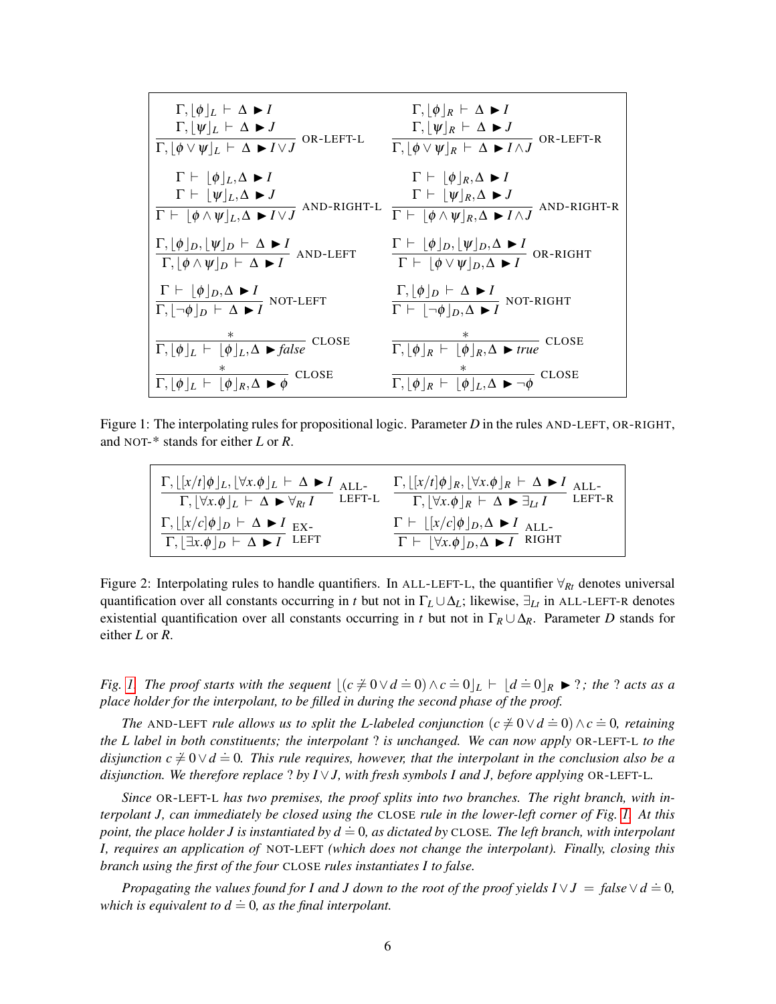$$
\frac{\Gamma, [\phi]_L \vdash \Delta \blacktriangleright I \qquad \qquad \Gamma, [\psi]_R \vdash \Delta \blacktriangleright I \qquad \qquad \Gamma, [\psi]_R \vdash \Delta \blacktriangleright I \qquad \qquad \Gamma, [\psi]_R \vdash \Delta \blacktriangleright I \qquad \qquad \Gamma, [\psi]_R \vdash \Delta \blacktriangleright I \qquad \qquad \Gamma \vdash [\phi]_L, \Delta \blacktriangleright I \qquad \qquad \Gamma \vdash [\phi]_R, \Delta \blacktriangleright I \qquad \qquad \Gamma \vdash [\psi]_R, \Delta \blacktriangleright I \qquad \qquad \Gamma \vdash [\psi]_R, \Delta \blacktriangleright I \qquad \qquad \Gamma \vdash [\psi]_R, \Delta \blacktriangleright I \qquad \qquad \Gamma \vdash [\psi]_R, \Delta \blacktriangleright J \qquad \qquad \Gamma \vdash [\psi]_R, \Delta \blacktriangleright J \qquad \qquad \Gamma \vdash [\psi]_R, \Delta \blacktriangleright J \qquad \qquad \Gamma \vdash [\psi]_R, \Delta \blacktriangleright J \qquad \qquad \Gamma \vdash [\psi]_R, \Delta \blacktriangleright J \qquad \qquad \Gamma \vdash [\psi]_R, \Delta \blacktriangleright I \qquad \qquad \Gamma \vdash [\psi]_R, \Delta \blacktriangleright I \qquad \qquad \Gamma \vdash [\psi]_R, \Delta \blacktriangleright I \qquad \qquad \Gamma \vdash [\psi]_R, \Delta \blacktriangleright I \qquad \qquad \Gamma \vdash [\psi \lor \psi]_D, \Delta \blacktriangleright I \qquad \qquad \Gamma \vdash [\psi \lor \psi]_D, \Delta \blacktriangleright I \qquad \qquad \Gamma \vdash [\psi \lor \psi]_D, \Delta \blacktriangleright I \qquad \qquad \Gamma \vdash [\neg \phi]_D, \Delta \blacktriangleright I \qquad \qquad \Gamma \vdash [\neg \phi]_D, \Delta \blacktriangleright I \qquad \qquad \Gamma \vdash [\neg \phi]_D, \Delta \blacktriangleright I \qquad \qquad \Gamma \vdash [\neg \phi]_D, \Delta \blacktriangleright I \qquad \qquad \Gamma \vdash [\psi]_R, \Delta \blacktriangleright \Gamma \vdash \Gamma \vdash [\psi]_R, \Delta \blacktriangleright \Gamma \vdash \Gamma \vdash [\psi]_R, \Delta \blacktriangleright \Gamma \vdash \Gamma \vdash [\psi]_R, \Delta \blacktriangleright \
$$

<span id="page-5-0"></span>Figure 1: The interpolating rules for propositional logic. Parameter *D* in the rules AND-LEFT, OR-RIGHT, and NOT-\* stands for either *L* or *R*.

$$
\frac{\Gamma, \lfloor [x/t]\phi \rfloor_L, \lfloor \forall x.\phi \rfloor_L \vdash \Delta \blacktriangleright I}{\Gamma, \lfloor \forall x.\phi \rfloor_L \vdash \Delta \blacktriangleright \forall_{Rt} I} \xrightarrow{\text{ALL-}} \frac{\Gamma, \lfloor [x/t]\phi \rfloor_R, \lfloor \forall x.\phi \rfloor_R \vdash \Delta \blacktriangleright I}{\Gamma, \lfloor \forall x.\phi \rfloor_R \vdash \Delta \blacktriangleright \exists_{Lt} I} \xrightarrow{\text{LEFT-R}}
$$
\n
$$
\frac{\Gamma, \lfloor [x/c]\phi \rfloor_D \vdash \Delta \blacktriangleright I}{\Gamma, \lfloor \exists x.\phi \rfloor_D \vdash \Delta \blacktriangleright I} \xrightarrow{\text{EET}} \frac{\Gamma \vdash \lfloor [x/c]\phi \rfloor_D, \Delta \blacktriangleright I}{\Gamma \vdash \lfloor \forall x.\phi \rfloor_D, \Delta \blacktriangleright I} \xrightarrow{\text{ALL-}}
$$

<span id="page-5-1"></span>Figure 2: Interpolating rules to handle quantifiers. In ALL-LEFT-L, the quantifier  $\forall R_t$  denotes universal quantification over all constants occurring in *t* but not in  $\Gamma_L \cup \Delta_L$ ; likewise,  $\exists_L t$  in ALL-LEFT-R denotes existential quantification over all constants occurring in *t* but not in  $\Gamma_R \cup \Delta_R$ . Parameter *D* stands for either *L* or *R*.

*Fig.* [1.](#page-5-0) The proof starts with the sequent  $[(c \neq 0 \lor d = 0) \land c = 0]_L \vdash [d = 0]_R \blacktriangleright ?$ ; the ? acts as a *place holder for the interpolant, to be filled in during the second phase of the proof.*

*The* AND-LEFT *rule allows us to split the L-labeled conjunction*  $(c \neq 0 \lor d = 0) \land c = 0$ , *retaining the L label in both constituents; the interpolant* ? *is unchanged. We can now apply* OR-LEFT-L *to the*  $\alpha$  *disjunction c*  $\neq$  0∨*d*  $\equiv$  0. This rule requires, however, that the interpolant in the conclusion also be a *disjunction. We therefore replace* ? *by I*  $\vee$ *J, with fresh symbols I and J, before applying* OR-LEFT-L.

*Since* OR-LEFT-L *has two premises, the proof splits into two branches. The right branch, with interpolant J, can immediately be closed using the* CLOSE *rule in the lower-left corner of Fig. [1.](#page-5-0) At this point, the place holder J is instantiated by*  $d = 0$ *, as dictated by CLOSE. The left branch, with interpolant I, requires an application of* NOT-LEFT *(which does not change the interpolant). Finally, closing this branch using the first of the four* CLOSE *rules instantiates I to false.*

*Propagating the values found for I and J down to the root of the proof yields I* ∨*J* = *false*∨*d* .<sup>=</sup> <sup>0</sup>*, which is equivalent to*  $d = 0$ *, as the final interpolant.*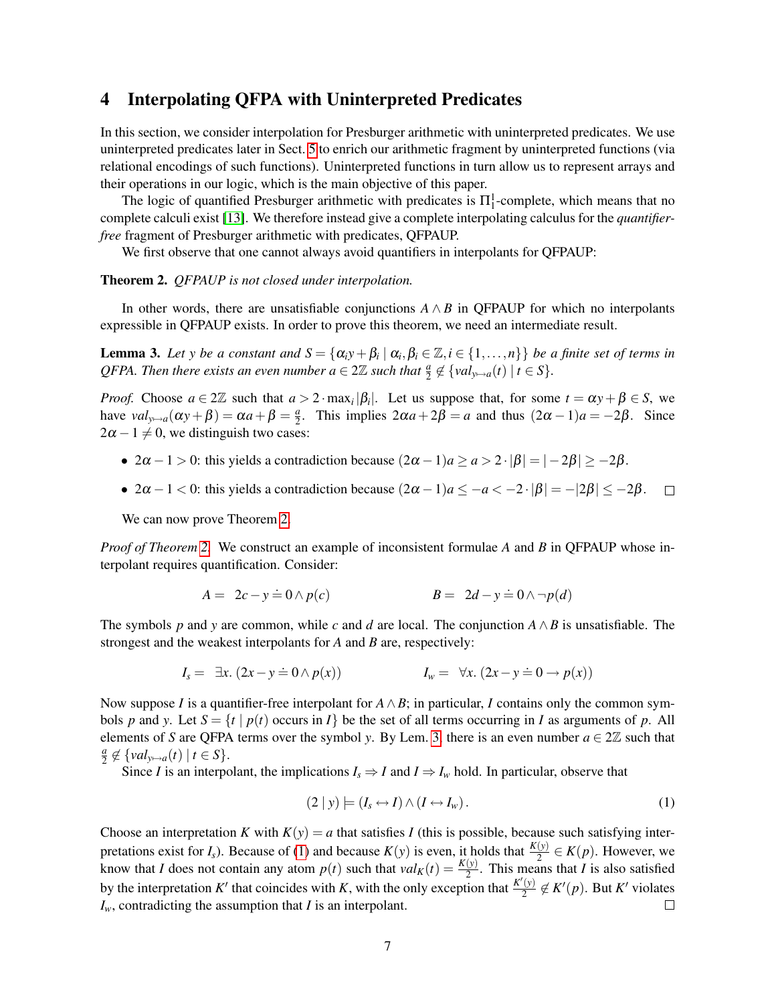# <span id="page-6-0"></span>4 Interpolating QFPA with Uninterpreted Predicates

In this section, we consider interpolation for Presburger arithmetic with uninterpreted predicates. We use uninterpreted predicates later in Sect. [5](#page-8-0) to enrich our arithmetic fragment by uninterpreted functions (via relational encodings of such functions). Uninterpreted functions in turn allow us to represent arrays and their operations in our logic, which is the main objective of this paper.

The logic of quantified Presburger arithmetic with predicates is  $\Pi_1^1$ -complete, which means that no complete calculi exist [\[13\]](#page-13-12). We therefore instead give a complete interpolating calculus for the *quantifierfree* fragment of Presburger arithmetic with predicates, QFPAUP.

We first observe that one cannot always avoid quantifiers in interpolants for QFPAUP:

#### <span id="page-6-1"></span>Theorem 2. *QFPAUP is not closed under interpolation.*

In other words, there are unsatisfiable conjunctions  $A \wedge B$  in QFPAUP for which no interpolants expressible in QFPAUP exists. In order to prove this theorem, we need an intermediate result.

<span id="page-6-2"></span>**Lemma 3.** Let y be a constant and  $S = {\alpha_i y + \beta_i \mid \alpha_i, \beta_i \in \mathbb{Z}, i \in \{1, ..., n\}}$  be a finite set of terms in *QFPA. Then there exists an even number*  $a \in 2\mathbb{Z}$  *such that*  $\frac{a}{2} \notin \{val_{y \mapsto a}(t) \mid t \in S\}$ *.* 

*Proof.* Choose  $a \in 2\mathbb{Z}$  such that  $a > 2 \cdot \max_i |\beta_i|$ . Let us suppose that, for some  $t = \alpha y + \beta \in S$ , we have  $val_{y \mapsto a}(\alpha y + \beta) = \alpha a + \beta = \frac{a}{2}$  $\frac{a}{2}$ . This implies  $2\alpha a + 2\beta = a$  and thus  $(2\alpha - 1)a = -2\beta$ . Since  $2\alpha - 1 \neq 0$ , we distinguish two cases:

- $2\alpha 1 > 0$ : this yields a contradiction because  $(2\alpha 1)a \ge a > 2 \cdot |\beta| = |-2\beta| \ge -2\beta$ .
- $2\alpha 1 < 0$ : this yields a contradiction because  $(2\alpha 1)a \leq -a < -2 \cdot |\beta| = -|2\beta| \leq -2\beta$ .  $\Box$

We can now prove Theorem [2.](#page-6-1)

*Proof of Theorem [2.](#page-6-1)* We construct an example of inconsistent formulae *A* and *B* in QFPAUP whose interpolant requires quantification. Consider:

$$
A = 2c - y \doteq 0 \land p(c) \qquad \qquad B = 2d - y \doteq 0 \land \neg p(d)
$$

The symbols *p* and *y* are common, while *c* and *d* are local. The conjunction *A*∧*B* is unsatisfiable. The strongest and the weakest interpolants for *A* and *B* are, respectively:

$$
I_s = \exists x. (2x - y \doteq 0 \land p(x)) \qquad I_w = \forall x. (2x - y \doteq 0 \rightarrow p(x))
$$

Now suppose *I* is a quantifier-free interpolant for  $A \wedge B$ ; in particular, *I* contains only the common symbols *p* and *y*. Let  $S = \{t \mid p(t) \text{ occurs in } I\}$  be the set of all terms occurring in *I* as arguments of *p*. All elements of *S* are QFPA terms over the symbol *y*. By Lem. [3,](#page-6-2) there is an even number  $a \in 2\mathbb{Z}$  such that *a*  $\frac{a}{2} \notin \{val_{y \mapsto a}(t) \mid t \in S\}.$ 

Since *I* is an interpolant, the implications  $I_s \Rightarrow I$  and  $I \Rightarrow I_w$  hold. In particular, observe that

<span id="page-6-3"></span>
$$
(2 | y) \models (I_s \leftrightarrow I) \land (I \leftrightarrow I_w).
$$
 (1)

Choose an interpretation *K* with  $K(y) = a$  that satisfies *I* (this is possible, because such satisfying interpretations exist for *I<sub>s</sub>*). Because of [\(1\)](#page-6-3) and because  $K(y)$  is even, it holds that  $\frac{K(y)}{2} \in K(p)$ . However, we know that *I* does not contain any atom  $p(t)$  such that  $val_K(t) = \frac{K(y)}{2}$ . This means that *I* is also satisfied by the interpretation *K'* that coincides with *K*, with the only exception that  $\frac{K'(y)}{2}$  $\frac{f(y)}{2} \notin K'(p)$ . But *K'* violates *Iw*, contradicting the assumption that *I* is an interpolant.  $\Box$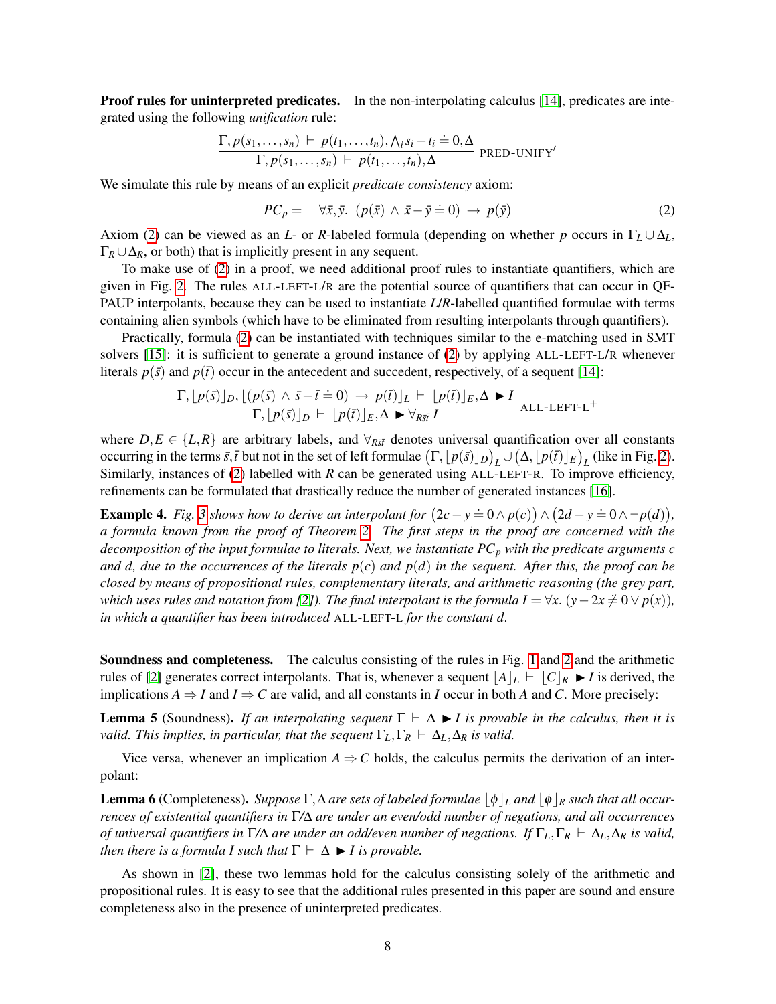**Proof rules for uninterpreted predicates.** In the non-interpolating calculus [\[14\]](#page-13-13), predicates are integrated using the following *unification* rule:

$$
\frac{\Gamma, p(s_1, \ldots, s_n) \vdash p(t_1, \ldots, t_n), \bigwedge_i s_i - t_i = 0, \Delta}{\Gamma, p(s_1, \ldots, s_n) \vdash p(t_1, \ldots, t_n), \Delta}
$$
 PRED-UNIFY'

We simulate this rule by means of an explicit *predicate consistency* axiom:

<span id="page-7-0"></span>
$$
PC_p = \forall \bar{x}, \bar{y}. \ (p(\bar{x}) \land \bar{x} - \bar{y} \doteq 0) \rightarrow p(\bar{y}) \tag{2}
$$

Axiom [\(2\)](#page-7-0) can be viewed as an *L*- or *R*-labeled formula (depending on whether *p* occurs in  $\Gamma_L \cup \Delta_L$ ,  $\Gamma_R \cup \Delta_R$ , or both) that is implicitly present in any sequent.

To make use of [\(2\)](#page-7-0) in a proof, we need additional proof rules to instantiate quantifiers, which are given in Fig. [2.](#page-5-1) The rules ALL-LEFT-L/R are the potential source of quantifiers that can occur in QF-PAUP interpolants, because they can be used to instantiate *L*/*R*-labelled quantified formulae with terms containing alien symbols (which have to be eliminated from resulting interpolants through quantifiers).

Practically, formula [\(2\)](#page-7-0) can be instantiated with techniques similar to the e-matching used in SMT solvers [\[15\]](#page-13-14): it is sufficient to generate a ground instance of [\(2\)](#page-7-0) by applying ALL-LEFT-L/R whenever literals  $p(\bar{s})$  and  $p(\bar{t})$  occur in the antecedent and succedent, respectively, of a sequent [\[14\]](#page-13-13):

$$
\frac{\Gamma, \lfloor p(\bar{s}) \rfloor_D, \lfloor (p(\bar{s}) \wedge \bar{s} - \bar{t} = 0) \rightarrow p(\bar{t}) \rfloor_L \vdash \lfloor p(\bar{t}) \rfloor_E, \Delta \blacktriangleright I}{\Gamma, \lfloor p(\bar{s}) \rfloor_D \vdash \lfloor p(\bar{t}) \rfloor_E, \Delta \blacktriangleright \forall_{R\bar{s}\bar{t}} I}
$$
ALL-LEFT-L<sup>+</sup>

where  $D, E \in \{L, R\}$  are arbitrary labels, and  $\forall_{R\bar{s}\bar{t}}$  denotes universal quantification over all constants occurring in the terms  $\bar{s}$ ,  $\bar{t}$  but not in the set of left formulae  $(\Gamma, \lfloor p(\bar{s}) \rfloor_D)_L \cup (\Delta, \lfloor p(\bar{t}) \rfloor_E)_L$  (like in Fig. [2\)](#page-5-1). Similarly, instances of [\(2\)](#page-7-0) labelled with *R* can be generated using ALL-LEFT-R. To improve efficiency, refinements can be formulated that drastically reduce the number of generated instances [\[16\]](#page-13-15).

**Example 4.** Fig. [3](#page-8-1) shows how to derive an interpolant for  $(2c - y = 0 \land p(c)) \land (2d - y = 0 \land \neg p(d)),$ *a formula known from the proof of Theorem [2.](#page-6-1) The first steps in the proof are concerned with the decomposition of the input formulae to literals. Next, we instantiate PC<sup>p</sup> with the predicate arguments c and d, due to the occurrences of the literals p*(*c*) *and p*(*d*) *in the sequent. After this, the proof can be closed by means of propositional rules, complementary literals, and arithmetic reasoning (the grey part, which uses rules and notation from [\[2\]](#page-13-1)). The final interpolant is the formula I* =  $\forall x. (y - 2x \neq 0 \lor p(x))$ *, in which a quantifier has been introduced* ALL-LEFT-L *for the constant d.*

Soundness and completeness. The calculus consisting of the rules in Fig. [1](#page-5-0) and [2](#page-5-1) and the arithmetic rules of [\[2\]](#page-13-1) generates correct interpolants. That is, whenever a sequent  $\frac{|A|_L}{|C|_R}$   $\blacktriangleright$  *I* is derived, the implications  $A \Rightarrow I$  and  $I \Rightarrow C$  are valid, and all constants in *I* occur in both *A* and *C*. More precisely:

**Lemma 5** (Soundness). *If an interpolating sequent*  $\Gamma \vdash \Delta \blacktriangleright I$  *is provable in the calculus, then it is valid. This implies, in particular, that the sequent*  $\Gamma_L, \Gamma_R \vdash \Delta_L, \Delta_R$  *is valid.* 

Vice versa, whenever an implication  $A \Rightarrow C$  holds, the calculus permits the derivation of an interpolant:

**Lemma 6** (Completeness). *Suppose*  $\Gamma$ , $\Delta$  *are sets of labeled formulae*  $|\phi|_L$  *and*  $|\phi|_R$  *such that all occurrences of existential quantifiers in* Γ*/*∆ *are under an even/odd number of negations, and all occurrences of universal quantifiers in* Γ*/*∆ *are under an odd/even number of negations. If* Γ*L*,Γ*<sup>R</sup>* ` ∆*L*,∆*<sup>R</sup> is valid, then there is a formula I such that*  $\Gamma \vdash \Delta \blacktriangleright I$  *is provable.* 

As shown in [\[2\]](#page-13-1), these two lemmas hold for the calculus consisting solely of the arithmetic and propositional rules. It is easy to see that the additional rules presented in this paper are sound and ensure completeness also in the presence of uninterpreted predicates.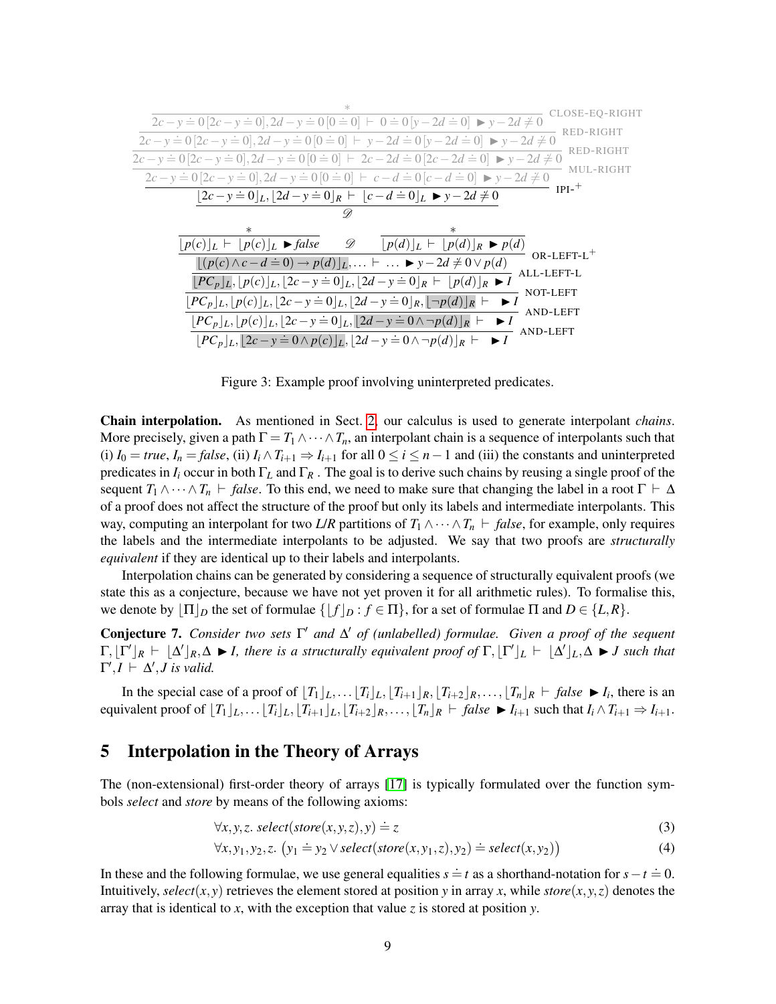|                                                                                                                                                    | CLOSE-EO-RIGHT            |
|----------------------------------------------------------------------------------------------------------------------------------------------------|---------------------------|
| $2c - y = 0$ $[2c - y = 0], 2d - y = 0$ $[0 = 0]$ $\vdash 0 = 0$ $[y - 2d = 0]$ $\blacktriangleright$ $y - 2d \neq 0$                              |                           |
| $2c - y = 0$ $[2c - y = 0]$ , $2d - y = 0$ $[0 = 0]$ $\vdash y - 2d = 0$ $[y - 2d = 0]$ $\blacktriangleright y - 2d \neq 0$                        | RED-RIGHT<br>RED-RIGHT    |
| $2c - y = 0$ $[2c - y = 0]$ , $2d - y = 0$ $[0 = 0]$ $\vdash 2c - 2d = 0$ $[2c - 2d = 0]$ $\blacktriangleright$ $y - 2d \neq 0$                    |                           |
| $2c - y = 0$ $[2c - y = 0]$ , $2d - y = 0$ $[0 = 0]$ $\vdash$ $c - d = 0$ $[c - d = 0]$ $\blacktriangleright$ $y - 2d \neq 0$                      | MUL-RIGHT                 |
| $ 2c-y=0 _L,  2d-y=0 _R \vdash  c-d=0 _L \blacktriangleright y-2d \neq 0$                                                                          | $IPI-$ <sup>+</sup>       |
| v                                                                                                                                                  |                           |
| $\ast$<br>$\ast$                                                                                                                                   |                           |
| - D<br>$ p(c) _L$ $\vdash$ $ p(c) _L$ $\blacktriangleright$ false<br>$\lfloor p(d)\rfloor_L \vdash \lfloor p(d)\rfloor_R \blacktriangleright p(d)$ | $OR$ -LEFT-L <sup>+</sup> |
| $[(p(c) \wedge c - d = 0) \rightarrow p(d)]_L, \dots \vdash \dots \blacktriangleright y - 2d \neq 0 \vee p(d)]$                                    | ALL-LEFT-L                |
| $[PC_p]_L, [p(c)]_L, [2c - y \doteq 0]_L, [2d - y \doteq 0]_R \vdash [p(d)]_R \blacktriangleright I$                                               |                           |
| $[PC_p]_L, [p(c)]_L, [2c - y \doteq 0]_L, [2d - y \doteq 0]_R, [\neg p(d)]_R$                                                                      | NOT-LEFT                  |
| $ PC_p _L,  p(c) _L,  2c - y \doteq 0 _L,  2d - y \doteq 0 \wedge \neg p(d) _R$ $\vdash \blacktriangleright I$                                     | AND-LEFT                  |
| $ PC_p _L$ , $ 2c - y \doteq 0 \wedge p(c) _L$ , $ 2d - y \doteq 0 \wedge \neg p(d) _R$ $\vdash$                                                   | AND-LEFT                  |
|                                                                                                                                                    |                           |

<span id="page-8-1"></span>Figure 3: Example proof involving uninterpreted predicates.

Chain interpolation. As mentioned in Sect. [2,](#page-2-0) our calculus is used to generate interpolant *chains*. More precisely, given a path  $\Gamma = T_1 \wedge \cdots \wedge T_n$ , an interpolant chain is a sequence of interpolants such that (i)  $I_0 = true$ ,  $I_n = false$ , (ii)  $I_i \wedge T_{i+1} \Rightarrow I_{i+1}$  for all  $0 \le i \le n-1$  and (iii) the constants and uninterpreted predicates in  $I_i$  occur in both  $\Gamma_L$  and  $\Gamma_R$ . The goal is to derive such chains by reusing a single proof of the sequent  $T_1 \wedge \cdots \wedge T_n$   $\vdash$  *false*. To this end, we need to make sure that changing the label in a root  $\Gamma \vdash \Delta$ of a proof does not affect the structure of the proof but only its labels and intermediate interpolants. This way, computing an interpolant for two *L*/*R* partitions of  $T_1 \wedge \cdots \wedge T_n$   $\vdash$  *false*, for example, only requires the labels and the intermediate interpolants to be adjusted. We say that two proofs are *structurally equivalent* if they are identical up to their labels and interpolants.

Interpolation chains can be generated by considering a sequence of structurally equivalent proofs (we state this as a conjecture, because we have not yet proven it for all arithmetic rules). To formalise this, we denote by  $|\Pi|_D$  the set of formulae  $\{|f|_D : f \in \Pi\}$ , for a set of formulae  $\Pi$  and  $D \in \{L, R\}$ .

**Conjecture 7.** *Consider two sets* Γ' *and* Δ' *of (unlabelled) formulae. Given a proof of the sequent*  $\Gamma$ ,  $[\Gamma']_R$   $\vdash \Delta' \rfloor_R$ ,  $\Delta \blacktriangleright I$ , there is a structurally equivalent proof of  $\Gamma$ ,  $[\Gamma']_L$   $\vdash \Delta' \rfloor_L$ ,  $\Delta \blacktriangleright J$  such that  $\Gamma', I \vdash \Delta', J$  is valid.

In the special case of a proof of  $[T_1]_L, \ldots, [T_i]_L, [T_{i+1}]_R, [T_{i+2}]_R, \ldots, [T_n]_R \vdash false \blacktriangleright I_i$ , there is an equivalent proof of  $[T_1]_L, \ldots, [T_i]_L, [T_{i+1}]_L, [T_{i+2}]_R, \ldots, [T_n]_R \vdash false \blacktriangleright I_{i+1}$  such that  $I_i \wedge T_{i+1} \Rightarrow I_{i+1}$ .

### <span id="page-8-0"></span>5 Interpolation in the Theory of Arrays

The (non-extensional) first-order theory of arrays [\[17\]](#page-13-16) is typically formulated over the function symbols *select* and *store* by means of the following axioms:

$$
\forall x, y, z. \ select(\text{store}(x, y, z), y) \doteq z \tag{3}
$$

<span id="page-8-3"></span><span id="page-8-2"></span>
$$
\forall x, y_1, y_2, z. \ (y_1 \doteq y_2 \lor select(store(x, y_1, z), y_2) \doteq select(x, y_2)) \tag{4}
$$

In these and the following formulae, we use general equalities  $s = t$  as a shorthand-notation for  $s - t = 0$ . Intuitively, *select*(*x*, *y*) retrieves the element stored at position *y* in array *x*, while *store*(*x*, *y*, *z*) denotes the array that is identical to *x*, with the exception that value *z* is stored at position *y*.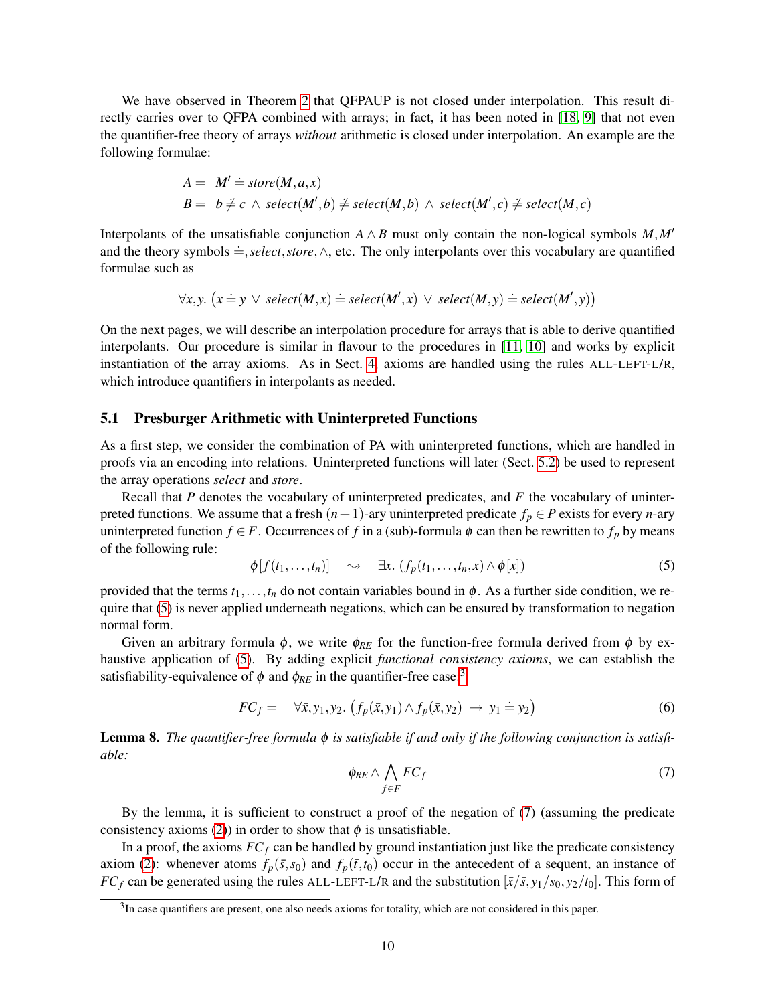We have observed in Theorem [2](#page-6-1) that QFPAUP is not closed under interpolation. This result directly carries over to QFPA combined with arrays; in fact, it has been noted in [\[18,](#page-13-17) [9\]](#page-13-8) that not even the quantifier-free theory of arrays *without* arithmetic is closed under interpolation. An example are the following formulae:

$$
A = M' \doteq store(M, a, x)
$$
  
\n
$$
B = b \neq c \land select(M', b) \neq select(M, b) \land select(M', c) \neq select(M, c)
$$

Interpolants of the unsatisfiable conjunction  $A \wedge B$  must only contain the non-logical symbols  $M, M'$ and the theory symbols .=,*select*,*store*,∧, etc. The only interpolants over this vocabulary are quantified formulae such as

$$
\forall x, y. \ (x \doteq y \lor select(M, x) \doteq select(M', x) \lor select(M, y) \doteq select(M', y))
$$

On the next pages, we will describe an interpolation procedure for arrays that is able to derive quantified interpolants. Our procedure is similar in flavour to the procedures in [\[11,](#page-13-10) [10\]](#page-13-9) and works by explicit instantiation of the array axioms. As in Sect. [4,](#page-6-0) axioms are handled using the rules ALL-LEFT-L/R, which introduce quantifiers in interpolants as needed.

### <span id="page-9-2"></span>5.1 Presburger Arithmetic with Uninterpreted Functions

As a first step, we consider the combination of PA with uninterpreted functions, which are handled in proofs via an encoding into relations. Uninterpreted functions will later (Sect. [5.2\)](#page-10-0) be used to represent the array operations *select* and *store*.

Recall that *P* denotes the vocabulary of uninterpreted predicates, and *F* the vocabulary of uninterpreted functions. We assume that a fresh  $(n+1)$ -ary uninterpreted predicate  $f_p \in P$  exists for every *n*-ary uninterpreted function  $f \in F$ . Occurrences of *f* in a (sub)-formula  $\phi$  can then be rewritten to  $f_p$  by means of the following rule:

<span id="page-9-0"></span>
$$
\phi[f(t_1,\ldots,t_n)] \quad \sim \quad \exists x. \ (f_p(t_1,\ldots,t_n,x) \wedge \phi[x]) \tag{5}
$$

provided that the terms  $t_1, \ldots, t_n$  do not contain variables bound in  $\phi$ . As a further side condition, we require that [\(5\)](#page-9-0) is never applied underneath negations, which can be ensured by transformation to negation normal form.

Given an arbitrary formula  $\phi$ , we write  $\phi_{RE}$  for the function-free formula derived from  $\phi$  by exhaustive application of [\(5\)](#page-9-0). By adding explicit *functional consistency axioms*, we can establish the satisfiability-equivalence of  $\phi$  and  $\phi_{RE}$  in the quantifier-free case:<sup>[3](#page-0-0)</sup>

$$
FC_f = \forall \bar{x}, y_1, y_2. \left( f_p(\bar{x}, y_1) \land f_p(\bar{x}, y_2) \rightarrow y_1 \stackrel{\cdot}{=} y_2 \right) \tag{6}
$$

<span id="page-9-1"></span>Lemma 8. *The quantifier-free formula* φ *is satisfiable if and only if the following conjunction is satisfiable:*

$$
\phi_{RE} \wedge \bigwedge_{f \in F} FC_f \tag{7}
$$

By the lemma, it is sufficient to construct a proof of the negation of [\(7\)](#page-9-1) (assuming the predicate consistency axioms [\(2\)](#page-7-0)) in order to show that  $\phi$  is unsatisfiable.

In a proof, the axioms  $FC_f$  can be handled by ground instantiation just like the predicate consistency axiom [\(2\)](#page-7-0): whenever atoms  $f_p(\bar{s}, s_0)$  and  $f_p(\bar{t}, t_0)$  occur in the antecedent of a sequent, an instance of *FC<sub>f</sub>* can be generated using the rules ALL-LEFT-L/R and the substitution  $[\bar{x}/\bar{s}, y_1/s_0, y_2/t_0]$ . This form of

<sup>&</sup>lt;sup>3</sup>In case quantifiers are present, one also needs axioms for totality, which are not considered in this paper.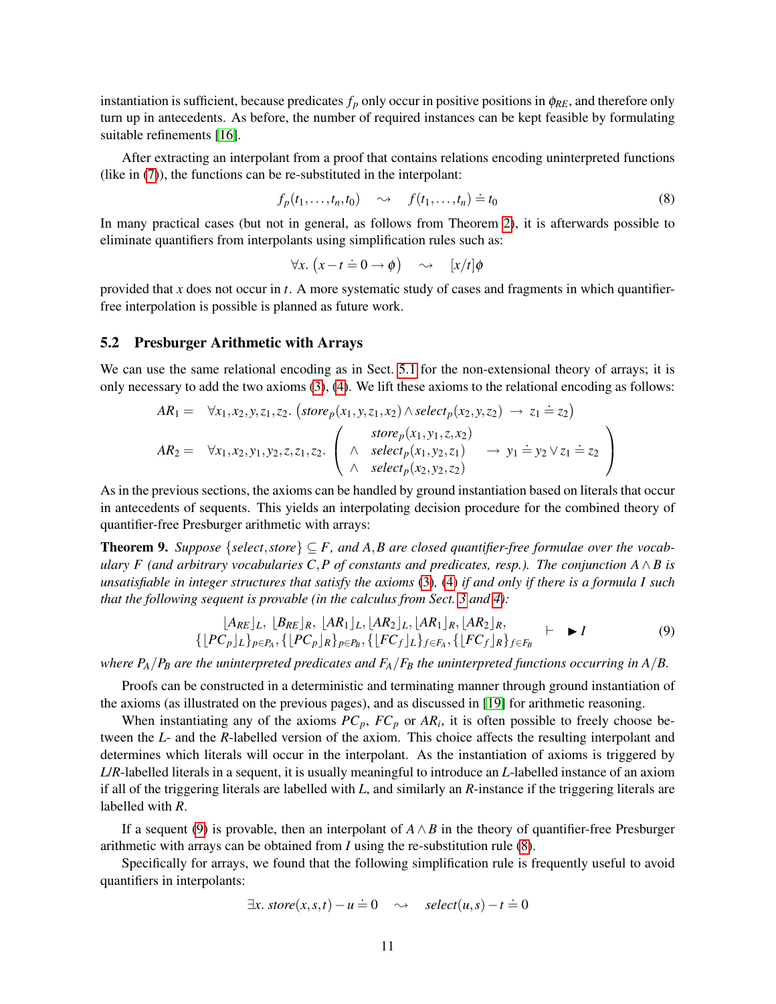instantiation is sufficient, because predicates  $f_p$  only occur in positive positions in  $\phi_{RE}$ , and therefore only turn up in antecedents. As before, the number of required instances can be kept feasible by formulating suitable refinements [\[16\]](#page-13-15).

After extracting an interpolant from a proof that contains relations encoding uninterpreted functions (like in [\(7\)](#page-9-1)), the functions can be re-substituted in the interpolant:

<span id="page-10-2"></span>
$$
f_p(t_1,\ldots,t_n,t_0) \quad \sim \quad f(t_1,\ldots,t_n) \doteq t_0 \tag{8}
$$

In many practical cases (but not in general, as follows from Theorem [2\)](#page-6-1), it is afterwards possible to eliminate quantifiers from interpolants using simplification rules such as:

$$
\forall x. (x-t=0 \to \phi) \quad \leadsto \quad [x/t]\phi
$$

provided that *x* does not occur in *t*. A more systematic study of cases and fragments in which quantifierfree interpolation is possible is planned as future work.

### <span id="page-10-0"></span>5.2 Presburger Arithmetic with Arrays

We can use the same relational encoding as in Sect. [5.1](#page-9-2) for the non-extensional theory of arrays; it is only necessary to add the two axioms [\(3\)](#page-8-2), [\(4\)](#page-8-3). We lift these axioms to the relational encoding as follows:

$$
AR_1 = \forall x_1, x_2, y, z_1, z_2. (store_p(x_1, y, z_1, x_2) \land select_p(x_2, y, z_2) \rightarrow z_1 \doteq z_2)
$$
  
\n
$$
AR_2 = \forall x_1, x_2, y_1, y_2, z, z_1, z_2. \left( \land \text{select}_p(x_1, y_1, z, x_2) \rightarrow y_1 \doteq y_2 \lor z_1 \doteq z_2 \land \text{select}_p(x_2, y_2, z_2) \rightarrow y_1 \doteq y_2 \lor z_1 \doteq z_2 \right)
$$

As in the previous sections, the axioms can be handled by ground instantiation based on literals that occur in antecedents of sequents. This yields an interpolating decision procedure for the combined theory of quantifier-free Presburger arithmetic with arrays:

**Theorem 9.** *Suppose* { *select*, *store*}  $\subseteq$  *F*, and A, *B* are closed quantifier-free formulae over the vocab*ulary F (and arbitrary vocabularies C*,*P of constants and predicates, resp.). The conjunction A*∧*B is unsatisfiable in integer structures that satisfy the axioms* [\(3\)](#page-8-2)*,* [\(4\)](#page-8-3) *if and only if there is a formula I such that the following sequent is provable (in the calculus from Sect. [3](#page-3-1) and [4\)](#page-6-0):*

<span id="page-10-1"></span>
$$
[A_{RE}]_L, [B_{RE}]_R, [AR_1]_L, [AR_2]_L, [AR_1]_R, [AR_2]_R, \newline \{[PC_p]_L\}_{p \in P_A}, \{[PC_p]_R\}_{p \in P_B}, \{[FC_f]_L\}_{f \in F_A}, \{[FC_f]_R\}_{f \in F_B} \vdash I
$$
\n(9)

*where*  $P_A/P_B$  *are the uninterpreted predicates and*  $F_A/F_B$  *the uninterpreted functions occurring in*  $A/B$ *.* 

Proofs can be constructed in a deterministic and terminating manner through ground instantiation of the axioms (as illustrated on the previous pages), and as discussed in [\[19\]](#page-13-18) for arithmetic reasoning.

When instantiating any of the axioms  $PC_p$ ,  $FC_p$  or  $AR_i$ , it is often possible to freely choose between the *L*- and the *R*-labelled version of the axiom. This choice affects the resulting interpolant and determines which literals will occur in the interpolant. As the instantiation of axioms is triggered by *L*/*R*-labelled literals in a sequent, it is usually meaningful to introduce an *L*-labelled instance of an axiom if all of the triggering literals are labelled with *L*, and similarly an *R*-instance if the triggering literals are labelled with *R*.

If a sequent [\(9\)](#page-10-1) is provable, then an interpolant of  $A \wedge B$  in the theory of quantifier-free Presburger arithmetic with arrays can be obtained from *I* using the re-substitution rule [\(8\)](#page-10-2).

Specifically for arrays, we found that the following simplification rule is frequently useful to avoid quantifiers in interpolants:

$$
\exists x. \; store(x, s, t) - u = 0 \quad \leadsto \quad select(u, s) - t = 0
$$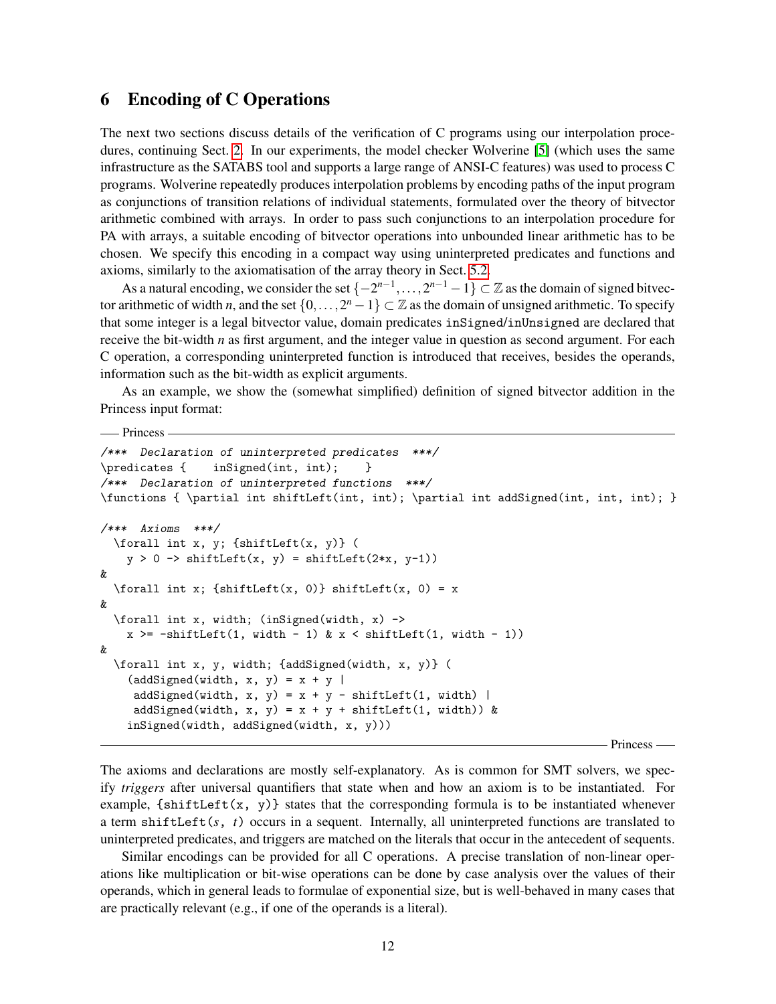### 6 Encoding of C Operations

The next two sections discuss details of the verification of C programs using our interpolation procedures, continuing Sect. [2.](#page-2-0) In our experiments, the model checker Wolverine [\[5\]](#page-13-4) (which uses the same infrastructure as the SATABS tool and supports a large range of ANSI-C features) was used to process C programs. Wolverine repeatedly produces interpolation problems by encoding paths of the input program as conjunctions of transition relations of individual statements, formulated over the theory of bitvector arithmetic combined with arrays. In order to pass such conjunctions to an interpolation procedure for PA with arrays, a suitable encoding of bitvector operations into unbounded linear arithmetic has to be chosen. We specify this encoding in a compact way using uninterpreted predicates and functions and axioms, similarly to the axiomatisation of the array theory in Sect. [5.2.](#page-10-0)

As a natural encoding, we consider the set  $\{-2^{n-1}, \ldots, 2^{n-1}-1\} \subset \mathbb{Z}$  as the domain of signed bitvector arithmetic of width *n*, and the set  $\{0,\ldots,2^n-1\}\subset\mathbb{Z}$  as the domain of unsigned arithmetic. To specify that some integer is a legal bitvector value, domain predicates inSigned/inUnsigned are declared that receive the bit-width *n* as first argument, and the integer value in question as second argument. For each C operation, a corresponding uninterpreted function is introduced that receives, besides the operands, information such as the bit-width as explicit arguments.

As an example, we show the (somewhat simplified) definition of signed bitvector addition in the Princess input format:

-Princess

```
/*** Declaration of uninterpreted predicates ***/
\predicates { inSigned(int, int); }
/*** Declaration of uninterpreted functions ***/
\functions { \partial int shiftLeft(int, int); \partial int addSigned(int, int, int); }
/*** Axioms ***/
  \forall int x, y; {shiftLeft(x, y)} (
    y > 0 \rightarrow shiftLeft(x, y) = shiftLeft(2*x, y-1))&
  \forall int x; {shiftLeft(x, 0)} shiftLeft(x, 0) = x
&
  \forall int x, width; (inSigned(width, x) ->
    x \ge -\text{shiftLeft}(1, \text{width} - 1) \& x \le \text{shiftLeft}(1, \text{width} - 1))&
  \forall int x, y, width; {addSigned(width, x, y)} (
    (\text{addSigned}(\text{width}, x, y) = x + y)addSigned(width, x, y) = x + y - shiftLeft(1, width) |
     addSigned(width, x, y) = x + y + shiftLeft(1, width)) &
    inSigned(width, addSigned(width, x, y)))
```
- Princess —

The axioms and declarations are mostly self-explanatory. As is common for SMT solvers, we specify *triggers* after universal quantifiers that state when and how an axiom is to be instantiated. For example,  $\{shiftLeft(x, y)\}$  states that the corresponding formula is to be instantiated whenever a term shiftLeft(*s*, *t*) occurs in a sequent. Internally, all uninterpreted functions are translated to uninterpreted predicates, and triggers are matched on the literals that occur in the antecedent of sequents.

Similar encodings can be provided for all C operations. A precise translation of non-linear operations like multiplication or bit-wise operations can be done by case analysis over the values of their operands, which in general leads to formulae of exponential size, but is well-behaved in many cases that are practically relevant (e.g., if one of the operands is a literal).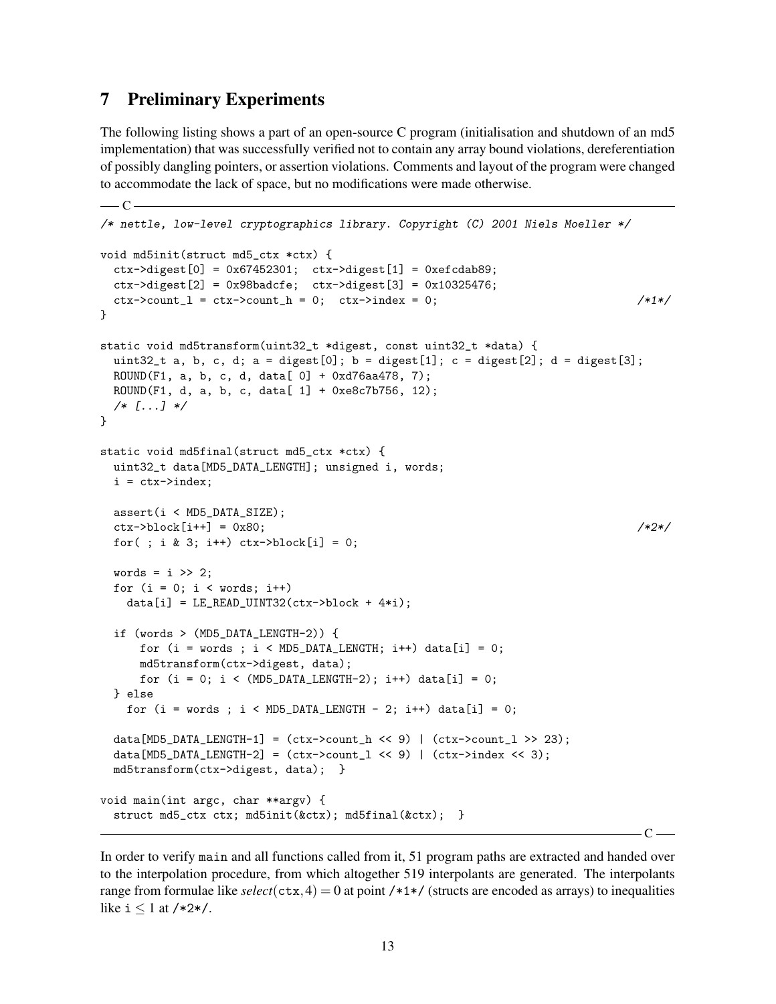# 7 Preliminary Experiments

 $\overline{\phantom{C}}$ 

The following listing shows a part of an open-source C program (initialisation and shutdown of an md5 implementation) that was successfully verified not to contain any array bound violations, dereferentiation of possibly dangling pointers, or assertion violations. Comments and layout of the program were changed to accommodate the lack of space, but no modifications were made otherwise.

```
/* nettle, low-level cryptographics library. Copyright (C) 2001 Niels Moeller */
void md5init(struct md5_ctx *ctx) {
  \text{ctx->digest}[0] = 0x67452301; \text{ctx->digest}[1] = 0xefcdab89;ctx->digest[2] = 0x98badcfe; ctx->digest[3] = 0x10325476;
  ctx->count_l = ctx->count_h = 0; ctx->index = 0; /*1*/
}
static void md5transform(uint32_t *digest, const uint32_t *data) {
 uint32<sub>_</sub>t a, b, c, d; a = digest[0]; b = digest[1]; c = digest[2]; d = digest[3];
 ROUND(F1, a, b, c, d, data[ 0] + 0xd76aa478, 7);
 ROUND(F1, d, a, b, c, data[ 1] + 0xe8c7b756, 12);
  /* [...] */
}
static void md5final(struct md5_ctx *ctx) {
 uint32_t data[MD5_DATA_LENGTH]; unsigned i, words;
 i = ctx->index;assert(i < MD5_DATA_SIZE);
  \text{ctx->block[i++] = 0x80;} /*2*/
 for( ; i & 3; i++) \text{ctx-&gt}block[i] = 0;words = i \gg 2;
 for (i = 0; i < words; i++)data[i] = LE\_READ\_UINT32(ctx->block + 4*i);if (words > (MD5_DATA_LENGTH-2)) {
      for (i = words; i < MD5_DATA_LENGTH; i++) data[i] = 0;md5transform(ctx->digest, data);
     for (i = 0; i < (MDS_DATA_LENGTH-2); i++) \text{data}[i] = 0;} else
   for (i = words; i < MD5_DATA_LENGTH - 2; i++) data[i] = 0;data[MD5_DATA_LENGTH-1] = (ctx->count_h \ll 9) | (ctx->count_l \gg 23);
  data[MD5_DATA_LENGTH-2] = (ctx->count_1 << 9) | (ctx->index << 3);md5transform(ctx->digest, data); }
void main(int argc, char **argv) {
  struct md5_ctx ctx; md5init(&ctx); md5final(&ctx); }
```
In order to verify main and all functions called from it, 51 program paths are extracted and handed over to the interpolation procedure, from which altogether 519 interpolants are generated. The interpolants range from formulae like  $select(\text{ctx}, 4) = 0$  at point /\*1\*/ (structs are encoded as arrays) to inequalities like  $i \leq 1$  at /\*2\*/.

 $C -$